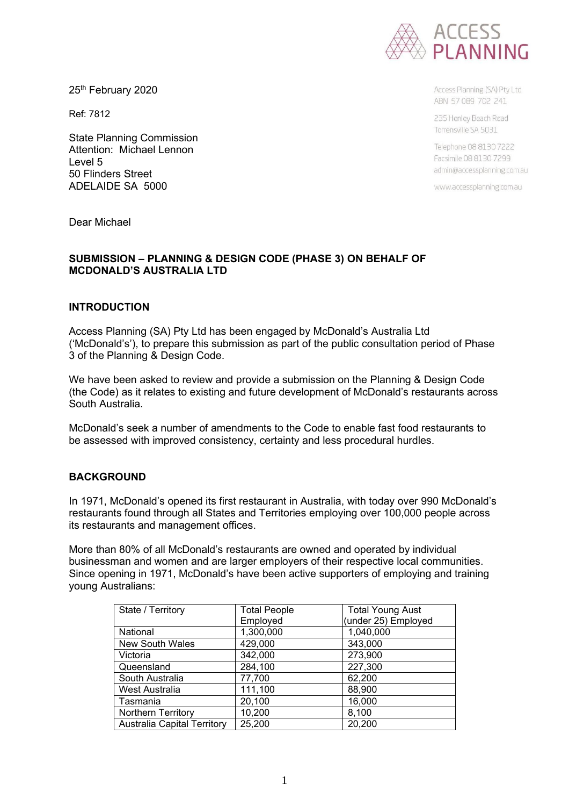

25<sup>th</sup> February 2020

Ref: 7812

State Planning Commission Attention: Michael Lennon Level 5 50 Flinders Street ADELAIDE SA 5000

Access Planning (SA) Pty Ltd ABN 57089 702 241

235 Henley Beach Road Torrensville SA 5031

Telephone 08 8130 7222 Facsimile 08 8130 7299 admin@accessplanning.com.au

www.accessplanning.com.au

Dear Michael

### **SUBMISSION – PLANNING & DESIGN CODE (PHASE 3) ON BEHALF OF MCDONALD'S AUSTRALIA LTD**

#### **INTRODUCTION**

Access Planning (SA) Pty Ltd has been engaged by McDonald's Australia Ltd ('McDonald's'), to prepare this submission as part of the public consultation period of Phase 3 of the Planning & Design Code.

We have been asked to review and provide a submission on the Planning & Design Code (the Code) as it relates to existing and future development of McDonald's restaurants across South Australia.

McDonald's seek a number of amendments to the Code to enable fast food restaurants to be assessed with improved consistency, certainty and less procedural hurdles.

### **BACKGROUND**

In 1971, McDonald's opened its first restaurant in Australia, with today over 990 McDonald's restaurants found through all States and Territories employing over 100,000 people across its restaurants and management offices.

More than 80% of all McDonald's restaurants are owned and operated by individual businessman and women and are larger employers of their respective local communities. Since opening in 1971, McDonald's have been active supporters of employing and training young Australians:

| State / Territory                  | <b>Total People</b> | <b>Total Young Aust</b> |
|------------------------------------|---------------------|-------------------------|
|                                    | Employed            | (under 25) Employed     |
| National                           | 1,300,000           | 1,040,000               |
| <b>New South Wales</b>             | 429,000             | 343,000                 |
| Victoria                           | 342,000             | 273,900                 |
| Queensland                         | 284,100             | 227,300                 |
| South Australia                    | 77,700              | 62,200                  |
| West Australia                     | 111,100             | 88,900                  |
| Tasmania                           | 20,100              | 16,000                  |
| <b>Northern Territory</b>          | 10,200              | 8,100                   |
| <b>Australia Capital Territory</b> | 25,200              | 20,200                  |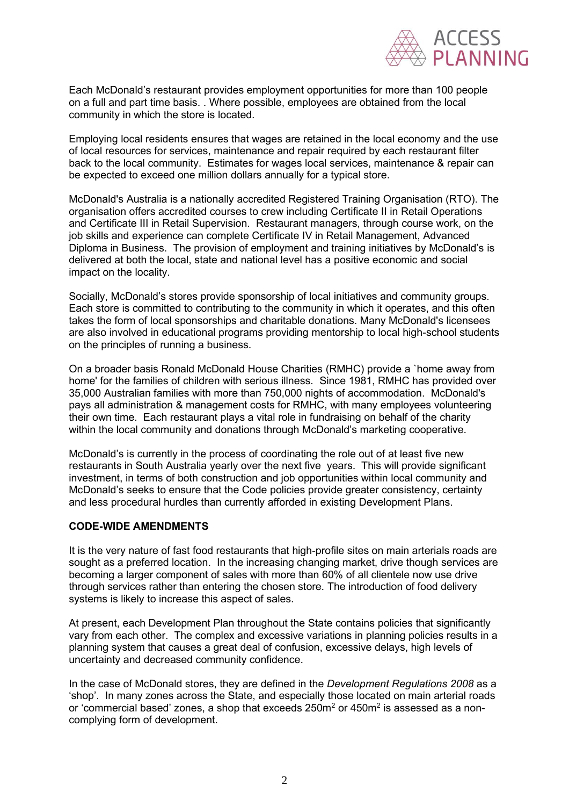

Each McDonald's restaurant provides employment opportunities for more than 100 people on a full and part time basis. . Where possible, employees are obtained from the local community in which the store is located.

Employing local residents ensures that wages are retained in the local economy and the use of local resources for services, maintenance and repair required by each restaurant filter back to the local community. Estimates for wages local services, maintenance & repair can be expected to exceed one million dollars annually for a typical store.

McDonald's Australia is a nationally accredited Registered Training Organisation (RTO). The organisation offers accredited courses to crew including Certificate II in Retail Operations and Certificate III in Retail Supervision. Restaurant managers, through course work, on the job skills and experience can complete Certificate IV in Retail Management, Advanced Diploma in Business. The provision of employment and training initiatives by McDonald's is delivered at both the local, state and national level has a positive economic and social impact on the locality.

Socially, McDonald's stores provide sponsorship of local initiatives and community groups. Each store is committed to contributing to the community in which it operates, and this often takes the form of local sponsorships and charitable donations. Many McDonald's licensees are also involved in educational programs providing mentorship to local high-school students on the principles of running a business.

On a broader basis Ronald McDonald House Charities (RMHC) provide a `home away from home' for the families of children with serious illness. Since 1981, RMHC has provided over 35,000 Australian families with more than 750,000 nights of accommodation. McDonald's pays all administration & management costs for RMHC, with many employees volunteering their own time. Each restaurant plays a vital role in fundraising on behalf of the charity within the local community and donations through McDonald's marketing cooperative.

McDonald's is currently in the process of coordinating the role out of at least five new restaurants in South Australia yearly over the next five years. This will provide significant investment, in terms of both construction and job opportunities within local community and McDonald's seeks to ensure that the Code policies provide greater consistency, certainty and less procedural hurdles than currently afforded in existing Development Plans.

### **CODE-WIDE AMENDMENTS**

It is the very nature of fast food restaurants that high-profile sites on main arterials roads are sought as a preferred location. In the increasing changing market, drive though services are becoming a larger component of sales with more than 60% of all clientele now use drive through services rather than entering the chosen store. The introduction of food delivery systems is likely to increase this aspect of sales.

At present, each Development Plan throughout the State contains policies that significantly vary from each other. The complex and excessive variations in planning policies results in a planning system that causes a great deal of confusion, excessive delays, high levels of uncertainty and decreased community confidence.

In the case of McDonald stores, they are defined in the *Development Regulations 2008* as a 'shop'. In many zones across the State, and especially those located on main arterial roads or 'commercial based' zones, a shop that exceeds 250m $^{\rm 2}$  or 450m $^{\rm 2}$  is assessed as a noncomplying form of development.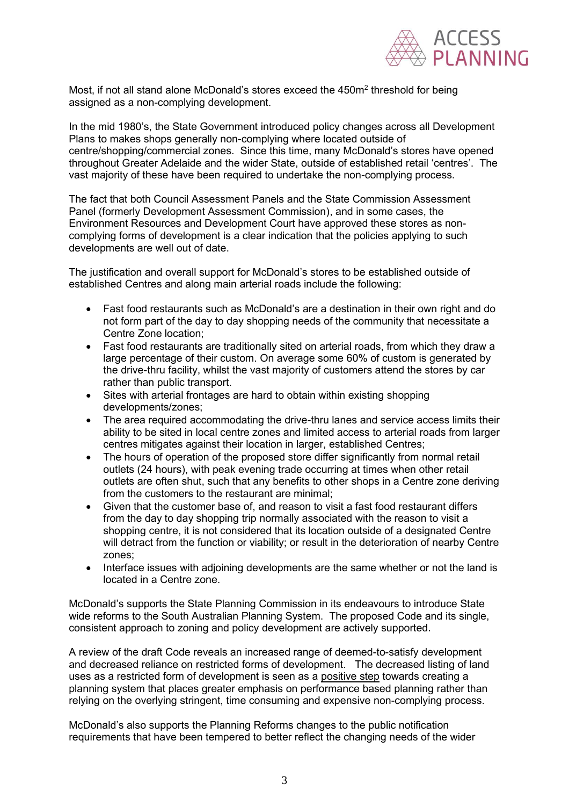

Most, if not all stand alone McDonald's stores exceed the  $450\mathsf{m}^2$  threshold for being assigned as a non-complying development.

In the mid 1980's, the State Government introduced policy changes across all Development Plans to makes shops generally non-complying where located outside of centre/shopping/commercial zones. Since this time, many McDonald's stores have opened throughout Greater Adelaide and the wider State, outside of established retail 'centres'. The vast majority of these have been required to undertake the non-complying process.

The fact that both Council Assessment Panels and the State Commission Assessment Panel (formerly Development Assessment Commission), and in some cases, the Environment Resources and Development Court have approved these stores as noncomplying forms of development is a clear indication that the policies applying to such developments are well out of date.

The justification and overall support for McDonald's stores to be established outside of established Centres and along main arterial roads include the following:

- Fast food restaurants such as McDonald's are a destination in their own right and do not form part of the day to day shopping needs of the community that necessitate a Centre Zone location;
- Fast food restaurants are traditionally sited on arterial roads, from which they draw a large percentage of their custom. On average some 60% of custom is generated by the drive-thru facility, whilst the vast majority of customers attend the stores by car rather than public transport.
- Sites with arterial frontages are hard to obtain within existing shopping developments/zones;
- The area required accommodating the drive-thru lanes and service access limits their ability to be sited in local centre zones and limited access to arterial roads from larger centres mitigates against their location in larger, established Centres;
- The hours of operation of the proposed store differ significantly from normal retail outlets (24 hours), with peak evening trade occurring at times when other retail outlets are often shut, such that any benefits to other shops in a Centre zone deriving from the customers to the restaurant are minimal;
- Given that the customer base of, and reason to visit a fast food restaurant differs from the day to day shopping trip normally associated with the reason to visit a shopping centre, it is not considered that its location outside of a designated Centre will detract from the function or viability; or result in the deterioration of nearby Centre zones;
- Interface issues with adjoining developments are the same whether or not the land is located in a Centre zone.

McDonald's supports the State Planning Commission in its endeavours to introduce State wide reforms to the South Australian Planning System. The proposed Code and its single, consistent approach to zoning and policy development are actively supported.

A review of the draft Code reveals an increased range of deemed-to-satisfy development and decreased reliance on restricted forms of development. The decreased listing of land uses as a restricted form of development is seen as a positive step towards creating a planning system that places greater emphasis on performance based planning rather than relying on the overlying stringent, time consuming and expensive non-complying process.

McDonald's also supports the Planning Reforms changes to the public notification requirements that have been tempered to better reflect the changing needs of the wider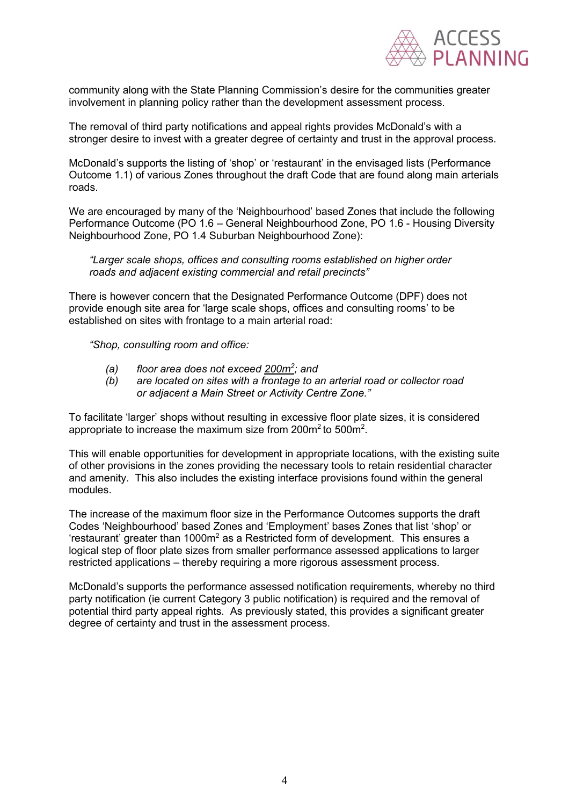

community along with the State Planning Commission's desire for the communities greater involvement in planning policy rather than the development assessment process.

The removal of third party notifications and appeal rights provides McDonald's with a stronger desire to invest with a greater degree of certainty and trust in the approval process.

McDonald's supports the listing of 'shop' or 'restaurant' in the envisaged lists (Performance Outcome 1.1) of various Zones throughout the draft Code that are found along main arterials roads.

We are encouraged by many of the 'Neighbourhood' based Zones that include the following Performance Outcome (PO 1.6 – General Neighbourhood Zone, PO 1.6 - Housing Diversity Neighbourhood Zone, PO 1.4 Suburban Neighbourhood Zone):

*"Larger scale shops, offices and consulting rooms established on higher order roads and adjacent existing commercial and retail precincts"*

There is however concern that the Designated Performance Outcome (DPF) does not provide enough site area for 'large scale shops, offices and consulting rooms' to be established on sites with frontage to a main arterial road:

*"Shop, consulting room and office:*

- *(a) floor area does not exceed 200m<sup>2</sup> ; and*
- *(b) are located on sites with a frontage to an arterial road or collector road or adjacent a Main Street or Activity Centre Zone."*

To facilitate 'larger' shops without resulting in excessive floor plate sizes, it is considered appropriate to increase the maximum size from 200m $^2$ to 500m $^2\!$ .

This will enable opportunities for development in appropriate locations, with the existing suite of other provisions in the zones providing the necessary tools to retain residential character and amenity. This also includes the existing interface provisions found within the general modules.

The increase of the maximum floor size in the Performance Outcomes supports the draft Codes 'Neighbourhood' based Zones and 'Employment' bases Zones that list 'shop' or 'restaurant' greater than 1000m<sup>2</sup> as a Restricted form of development. This ensures a logical step of floor plate sizes from smaller performance assessed applications to larger restricted applications – thereby requiring a more rigorous assessment process.

McDonald's supports the performance assessed notification requirements, whereby no third party notification (ie current Category 3 public notification) is required and the removal of potential third party appeal rights. As previously stated, this provides a significant greater degree of certainty and trust in the assessment process.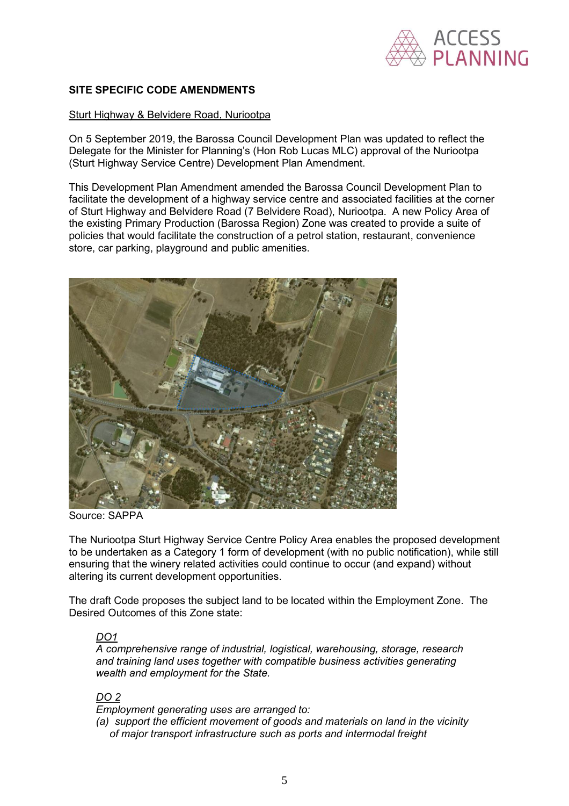

### **SITE SPECIFIC CODE AMENDMENTS**

#### Sturt Highway & Belvidere Road, Nuriootpa

On 5 September 2019, the Barossa Council Development Plan was updated to reflect the Delegate for the Minister for Planning's (Hon Rob Lucas MLC) approval of the Nuriootpa (Sturt Highway Service Centre) Development Plan Amendment.

This Development Plan Amendment amended the Barossa Council Development Plan to facilitate the development of a highway service centre and associated facilities at the corner of Sturt Highway and Belvidere Road (7 Belvidere Road), Nuriootpa. A new Policy Area of the existing Primary Production (Barossa Region) Zone was created to provide a suite of policies that would facilitate the construction of a petrol station, restaurant, convenience store, car parking, playground and public amenities.



Source: SAPPA

The Nuriootpa Sturt Highway Service Centre Policy Area enables the proposed development to be undertaken as a Category 1 form of development (with no public notification), while still ensuring that the winery related activities could continue to occur (and expand) without altering its current development opportunities.

The draft Code proposes the subject land to be located within the Employment Zone. The Desired Outcomes of this Zone state:

# *DO1*

*A comprehensive range of industrial, logistical, warehousing, storage, research and training land uses together with compatible business activities generating wealth and employment for the State.* 

# *DO 2*

*Employment generating uses are arranged to:* 

*(a) support the efficient movement of goods and materials on land in the vicinity of major transport infrastructure such as ports and intermodal freight*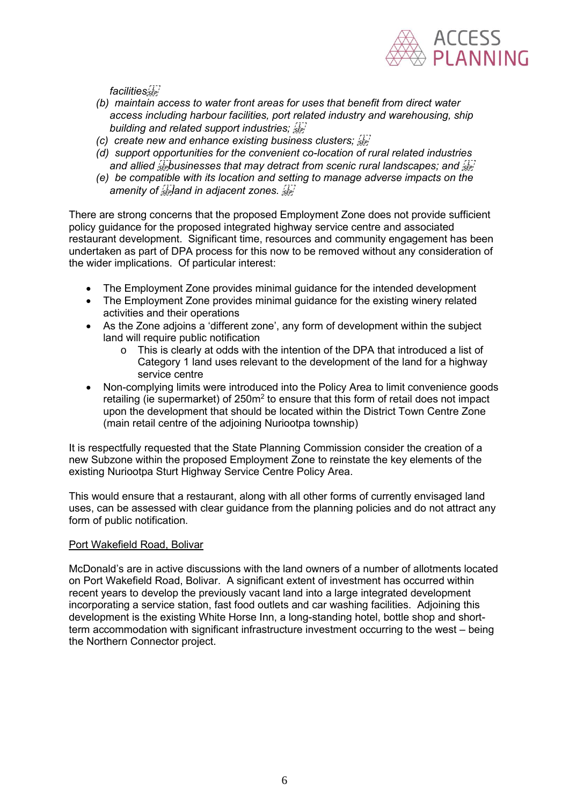

*facilities*

- *(b) maintain access to water front areas for uses that benefit from direct water access including harbour facilities, port related industry and warehousing, ship building and related support industries;*
- *(c) create new and enhance existing business clusters;*
- *(d) support opportunities for the convenient co-location of rural related industries*  and allied *sepbusinesses that may detract from scenic rural landscapes; and sep*
- *(e) be compatible with its location and setting to manage adverse impacts on the amenity of <i>s*<sub>*ise*</sub>*land in adjacent zones.*  $\frac{177}{58}$

There are strong concerns that the proposed Employment Zone does not provide sufficient policy guidance for the proposed integrated highway service centre and associated restaurant development. Significant time, resources and community engagement has been undertaken as part of DPA process for this now to be removed without any consideration of the wider implications. Of particular interest:

- The Employment Zone provides minimal guidance for the intended development
- The Employment Zone provides minimal guidance for the existing winery related activities and their operations
- As the Zone adjoins a 'different zone', any form of development within the subject land will require public notification
	- o This is clearly at odds with the intention of the DPA that introduced a list of Category 1 land uses relevant to the development of the land for a highway service centre
- Non-complying limits were introduced into the Policy Area to limit convenience goods retailing (ie supermarket) of 250m $^2$  to ensure that this form of retail does not impact upon the development that should be located within the District Town Centre Zone (main retail centre of the adjoining Nuriootpa township)

It is respectfully requested that the State Planning Commission consider the creation of a new Subzone within the proposed Employment Zone to reinstate the key elements of the existing Nuriootpa Sturt Highway Service Centre Policy Area.

This would ensure that a restaurant, along with all other forms of currently envisaged land uses, can be assessed with clear guidance from the planning policies and do not attract any form of public notification.

### Port Wakefield Road, Bolivar

McDonald's are in active discussions with the land owners of a number of allotments located on Port Wakefield Road, Bolivar. A significant extent of investment has occurred within recent years to develop the previously vacant land into a large integrated development incorporating a service station, fast food outlets and car washing facilities. Adjoining this development is the existing White Horse Inn, a long-standing hotel, bottle shop and shortterm accommodation with significant infrastructure investment occurring to the west – being the Northern Connector project.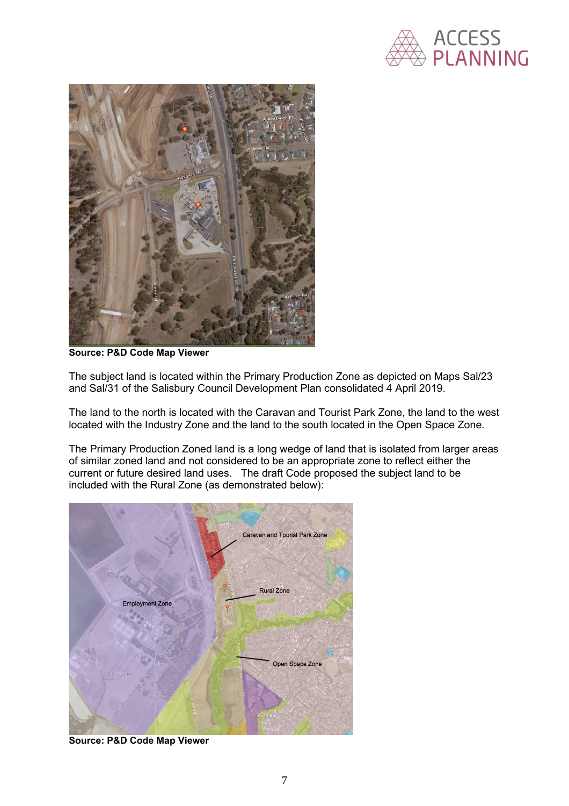



**Source: P&D Code Map Viewer**

The subject land is located within the Primary Production Zone as depicted on Maps Sal/23 and Sal/31 of the Salisbury Council Development Plan consolidated 4 April 2019.

The land to the north is located with the Caravan and Tourist Park Zone, the land to the west located with the Industry Zone and the land to the south located in the Open Space Zone.

The Primary Production Zoned land is a long wedge of land that is isolated from larger areas of similar zoned land and not considered to be an appropriate zone to reflect either the current or future desired land uses. The draft Code proposed the subject land to be included with the Rural Zone (as demonstrated below):



**Source: P&D Code Map Viewer**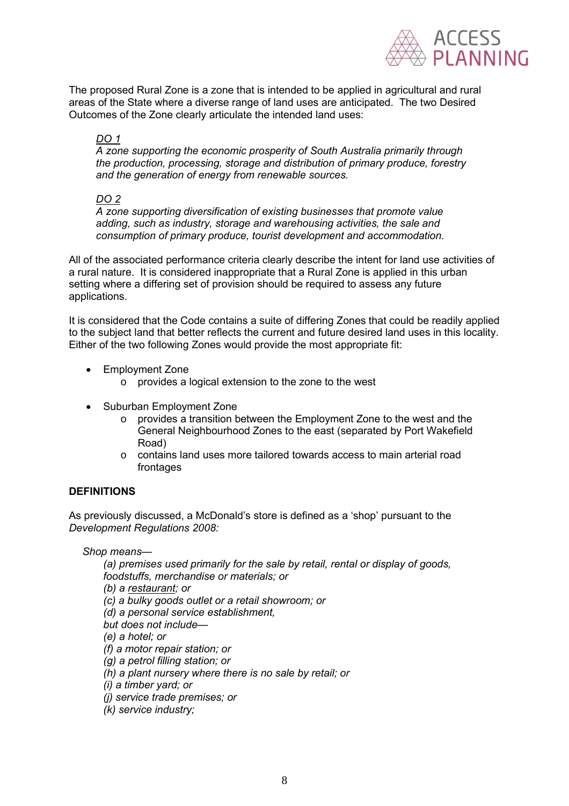

The proposed Rural Zone is a zone that is intended to be applied in agricultural and rural areas of the State where a diverse range of land uses are anticipated. The two Desired Outcomes of the Zone clearly articulate the intended land uses:

# *DO 1*

*A zone supporting the economic prosperity of South Australia primarily through the production, processing, storage and distribution of primary produce, forestry and the generation of energy from renewable sources.* 

### *DO 2*

*A zone supporting diversification of existing businesses that promote value adding, such as industry, storage and warehousing activities, the sale and consumption of primary produce, tourist development and accommodation.* 

All of the associated performance criteria clearly describe the intent for land use activities of a rural nature. It is considered inappropriate that a Rural Zone is applied in this urban setting where a differing set of provision should be required to assess any future applications.

It is considered that the Code contains a suite of differing Zones that could be readily applied to the subject land that better reflects the current and future desired land uses in this locality. Either of the two following Zones would provide the most appropriate fit:

- Employment Zone
	- o provides a logical extension to the zone to the west
- Suburban Employment Zone
	- $\circ$  provides a transition between the Employment Zone to the west and the General Neighbourhood Zones to the east (separated by Port Wakefield Road)
	- o contains land uses more tailored towards access to main arterial road frontages

# **DEFINITIONS**

As previously discussed, a McDonald's store is defined as a 'shop' pursuant to the *Development Regulations 2008:*

*Shop means—*

*(a) premises used primarily for the sale by retail, rental or display of goods, foodstuffs, merchandise or materials; or (b) a restaurant; or (c) a bulky goods outlet or a retail showroom; or (d) a personal service establishment, but does not include— (e) a hotel; or (f) a motor repair station; or (g) a petrol filling station; or (h) a plant nursery where there is no sale by retail; or (i) a timber yard; or (j) service trade premises; or*

*(k) service industry;*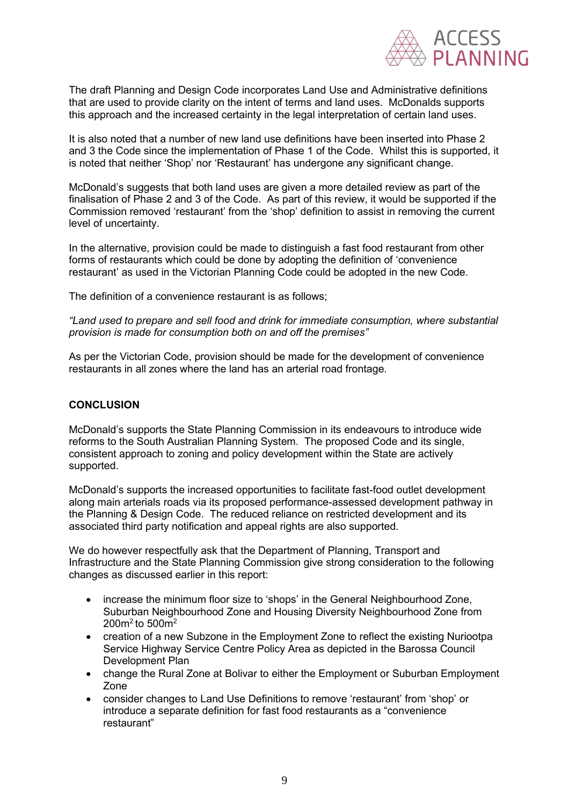

The draft Planning and Design Code incorporates Land Use and Administrative definitions that are used to provide clarity on the intent of terms and land uses. McDonalds supports this approach and the increased certainty in the legal interpretation of certain land uses.

It is also noted that a number of new land use definitions have been inserted into Phase 2 and 3 the Code since the implementation of Phase 1 of the Code. Whilst this is supported, it is noted that neither 'Shop' nor 'Restaurant' has undergone any significant change.

McDonald's suggests that both land uses are given a more detailed review as part of the finalisation of Phase 2 and 3 of the Code. As part of this review, it would be supported if the Commission removed 'restaurant' from the 'shop' definition to assist in removing the current level of uncertainty.

In the alternative, provision could be made to distinguish a fast food restaurant from other forms of restaurants which could be done by adopting the definition of 'convenience restaurant' as used in the Victorian Planning Code could be adopted in the new Code.

The definition of a convenience restaurant is as follows;

*"Land used to prepare and sell food and drink for immediate consumption, where substantial provision is made for consumption both on and off the premises"*

As per the Victorian Code, provision should be made for the development of convenience restaurants in all zones where the land has an arterial road frontage.

### **CONCLUSION**

McDonald's supports the State Planning Commission in its endeavours to introduce wide reforms to the South Australian Planning System. The proposed Code and its single, consistent approach to zoning and policy development within the State are actively supported.

McDonald's supports the increased opportunities to facilitate fast-food outlet development along main arterials roads via its proposed performance-assessed development pathway in the Planning & Design Code. The reduced reliance on restricted development and its associated third party notification and appeal rights are also supported.

We do however respectfully ask that the Department of Planning, Transport and Infrastructure and the State Planning Commission give strong consideration to the following changes as discussed earlier in this report:

- increase the minimum floor size to 'shops' in the General Neighbourhood Zone, Suburban Neighbourhood Zone and Housing Diversity Neighbourhood Zone from  $200m^2$  to 500 $m^2$
- creation of a new Subzone in the Employment Zone to reflect the existing Nuriootpa Service Highway Service Centre Policy Area as depicted in the Barossa Council Development Plan
- change the Rural Zone at Bolivar to either the Employment or Suburban Employment Zone
- consider changes to Land Use Definitions to remove 'restaurant' from 'shop' or introduce a separate definition for fast food restaurants as a "convenience restaurant"